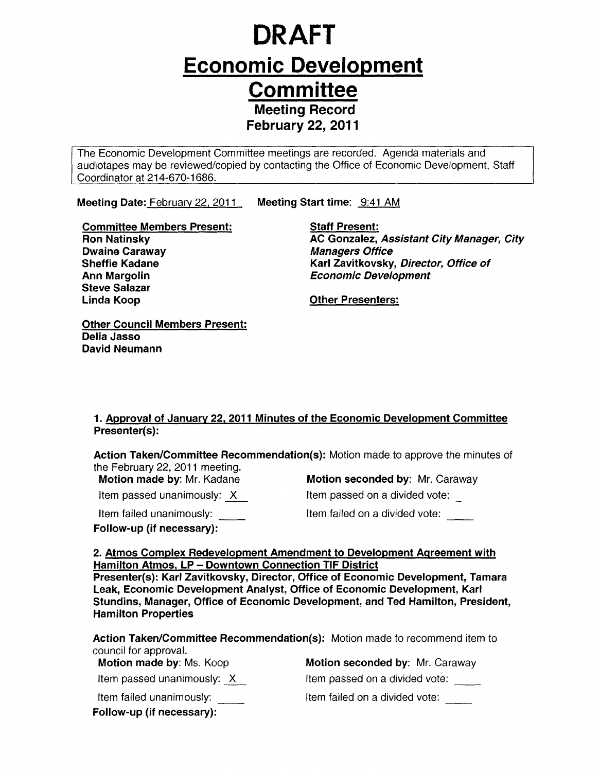# **DRAFT Economic Development Committee Meeting Record** February 22, 2011

The Economic Development Committee meetings are recorded. Agenda materials and audiotapes may be reviewed/copied by contacting the Office of Economic Development, Staff Coordinator at 214-670-1686.

Meeting Date: February 22, 2011 Meeting Start time: 9:41 AM

Committee Members Present: Ron Natinsky Dwaine Caraway Sheffie Kadane Ann Margolin Steve Salazar Linda Koop

**Staff Present:** AC Gonzalez, Assistant City Manager, City Managers Office Karl Zavitkovsky, Director, Office of Economic Development

Other Presenters:

Other Council Members Present: Delia Jasso David Neumann

### 1. Approval of January 22, 2011 Minutes of the Economic Development Committee Presenter(s):

Action Taken/Committee Recommendation(s): Motion made to approve the minutes of the February 22, 2011 meeting.

Item passed unanimously:  $X$ 

Item failed unanimously:

Follow-up (if necessary):

Motion made by: Mr. Kadane **Motion seconded by: Mr. Caraway** 

Item passed on a divided vote:

Item failed on a divided vote:

### 2. Atmos Complex Redevelopment Amendment to Development Agreement with Hamilton Atmos, LP - Downtown Connection TIF District

Presenter(s): Karl Zavitkovsky, Director, Office of Economic Development, Tamara Leak, Economic Development Analyst, Office of Economic Development, Karl Stundins, Manager, Office of Economic Development, and Ted Hamilton, President, Hamilton Properties

Action Taken/Committee Recommendation(s): Motion made to recommend item to council for approval.

Motion made by: Ms. Koop Motion seconded by: Mr. Caraway Item passed unanimously:  $X$ Item failed unanimously: Follow-up (if necessary):

Item passed on a divided vote: Item failed on a divided vote: